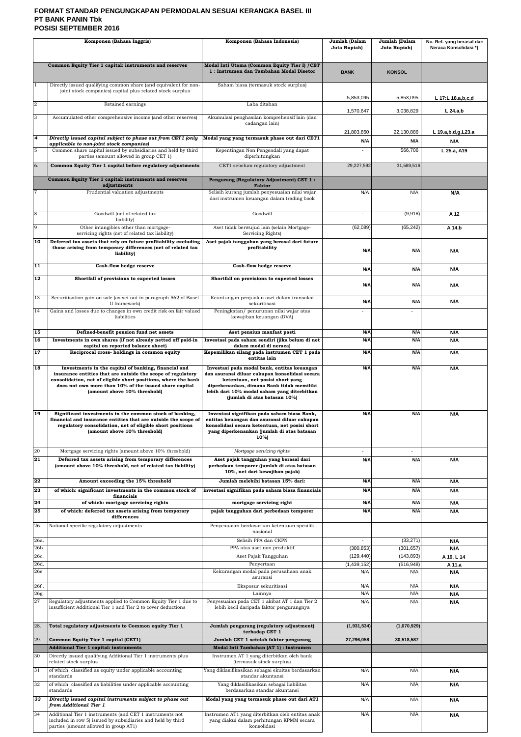## **FORMAT STANDAR PENGUNGKAPAN PERMODALAN SESUAI KERANGKA BASEL III PT BANK PANIN Tbk POSISI SEPTEMBER 2016**

| Komponen (Bahasa Inggris) |                                                                                                                                                                                                                                                                                 | Komponen (Bahasa Indonesia)                                                                                                                                                                                                                                   | Jumlah (Dalam<br>Juta Rupiah) | Jumlah (Dalam<br>Juta Rupiah) | No. Ref. yang berasal dari<br>Neraca Konsolidasi*) |
|---------------------------|---------------------------------------------------------------------------------------------------------------------------------------------------------------------------------------------------------------------------------------------------------------------------------|---------------------------------------------------------------------------------------------------------------------------------------------------------------------------------------------------------------------------------------------------------------|-------------------------------|-------------------------------|----------------------------------------------------|
|                           |                                                                                                                                                                                                                                                                                 |                                                                                                                                                                                                                                                               |                               |                               |                                                    |
|                           | Common Equity Tier 1 capital: instruments and reserves                                                                                                                                                                                                                          | Modal Inti Utama (Common Equity Tier I) / CET<br>1: Instrumen dan Tambahan Modal Disetor                                                                                                                                                                      | <b>BANK</b>                   | <b>KONSOL</b>                 |                                                    |
|                           | Directly issued qualifying common share (and equivalent for non-<br>joint stock companies) capital plus related stock surplus                                                                                                                                                   | Saham biasa (termasuk stock surplus)                                                                                                                                                                                                                          | 5,853,095                     | 5,853,095                     | L 17:L 18.a,b,c,d                                  |
| $\overline{2}$            | Retained earnings                                                                                                                                                                                                                                                               | Laba ditahan                                                                                                                                                                                                                                                  | 1,570,647                     | 3,038,829                     | $L$ 24.a,b                                         |
| 3                         | Accumulated other comprehensive income (and other reserves)                                                                                                                                                                                                                     | Akumulasi penghasilan komprehensif lain (dan<br>cadangan lain)                                                                                                                                                                                                |                               |                               |                                                    |
| $\overline{4}$            |                                                                                                                                                                                                                                                                                 |                                                                                                                                                                                                                                                               | 21,803,850                    | 22,130,886                    | L 19.a,b,d,g,L23.a                                 |
|                           | Directly issued capital subject to phase out from CET1 (only<br>applicable to non-joint stock companies)                                                                                                                                                                        | Modal yang yang termasuk phase out dari CET1                                                                                                                                                                                                                  | N/A                           | N/A                           | N/A                                                |
| 5                         | Common share capital issued by subsidiaries and held by third<br>parties (amount allowed in group CET 1)                                                                                                                                                                        | Kepentingan Non Pengendali yang dapat<br>diperhitungkan                                                                                                                                                                                                       | $\blacksquare$                | 566,706                       | L 25.a, A19                                        |
| 6.                        | Common Equity Tier 1 capital before regulatory adjustments                                                                                                                                                                                                                      | CET1 sebelum regulatory adjustment                                                                                                                                                                                                                            | 29,227,592                    | 31,589,516                    |                                                    |
|                           | Common Equity Tier 1 capital: instruments and reserves<br>adjustments                                                                                                                                                                                                           | Pengurang (Regulatory Adjustment) CET 1:<br><b>Faktor</b>                                                                                                                                                                                                     |                               |                               |                                                    |
| 7                         | Prudential valuation adjustments                                                                                                                                                                                                                                                | Selisih kurang jumlah penyesuaian nilai wajar<br>dari instrumen keuangan dalam trading book                                                                                                                                                                   | N/A                           | N/A                           | N/A                                                |
|                           |                                                                                                                                                                                                                                                                                 |                                                                                                                                                                                                                                                               |                               |                               |                                                    |
| 8                         | Goodwill (net of related tax<br>liability)                                                                                                                                                                                                                                      | Goodwill                                                                                                                                                                                                                                                      | $\blacksquare$                | (9,918)                       | A 12                                               |
| 9                         | Other intangibles other than mortgage-<br>servicing rights (net of related tax liability)                                                                                                                                                                                       | Aset tidak berwujud lain (selain Mortgage-<br>Servicing Rights)                                                                                                                                                                                               | (62,089)                      | (65, 242)                     | A 14.b                                             |
| 10                        | Deferred tax assets that rely on future profitability excluding<br>those arising from temporary differences (net of related tax<br>liability)                                                                                                                                   | Aset pajak tangguhan yang berasal dari future<br>profitability                                                                                                                                                                                                | N/A                           | N/A                           | N/A                                                |
| 11                        | Cash-flow hedge reserve                                                                                                                                                                                                                                                         | Cash-flow hedge reserve                                                                                                                                                                                                                                       | N/A                           | N/A                           | N/A                                                |
| 12                        | Shortfall of provisions to expected losses                                                                                                                                                                                                                                      | Shortfall on provisions to expected losses                                                                                                                                                                                                                    | N/A                           | N/A                           | N/A                                                |
| 13                        | Securitisation gain on sale (as set out in paragraph 562 of Basel<br>II framework)                                                                                                                                                                                              | Keuntungan penjualan aset dalam transaksi<br>sekuritisasi                                                                                                                                                                                                     | N/A                           | N/A                           | N/A                                                |
| 14                        | Gains and losses due to changes in own credit risk on fair valued<br>liabilities                                                                                                                                                                                                | Peningkatan/ penurunan nilai wajar atas<br>kewajiban keuangan (DVA)                                                                                                                                                                                           | $\blacksquare$                | $\blacksquare$                |                                                    |
|                           |                                                                                                                                                                                                                                                                                 |                                                                                                                                                                                                                                                               |                               |                               |                                                    |
| 15<br>16                  | Defined-benefit pension fund net assets<br>Investments in own shares (if not already netted off paid-in                                                                                                                                                                         | Aset pensiun manfaat pasti<br>Investasi pada saham sendiri (jika belum di net                                                                                                                                                                                 | N/A<br>N/A                    | N/A<br>N/A                    | N/A<br>N/A                                         |
| 17                        | capital on reported balance sheet)<br>Reciprocal cross-holdings in common equity                                                                                                                                                                                                | dalam modal di neraca)<br>Kepemilikan silang pada instrumen CET 1 pada<br>entitas lain                                                                                                                                                                        | N/A                           | N/A                           | N/A                                                |
| 18                        | Investments in the capital of banking, financial and<br>insurance entities that are outside the scope of regulatory<br>consolidation, net of eligible short positions, where the bank<br>does not own more than 10% of the issued share capital<br>(amount above 10% threshold) | Investasi pada modal bank, entitas keuangan<br>dan asuransi diluar cakupan konsolidasi secara<br>ketentuan, net posisi short yang<br>diperkenankan, dimana Bank tidak memiliki<br>lebih dari 10% modal saham yang diterbitkan<br>(jumlah di atas batasan 10%) | N/A                           | N/A                           | N/A                                                |
| 19                        | Significant investments in the common stock of banking,<br>financial and insurance entities that are outside the scope of<br>regulatory consolidation, net of eligible short positions<br>(amount above 10% threshold)                                                          | Investasi signifikan pada saham biasa Bank,<br>entitas keuangan dan asuransi diluar cakupan<br>konsolidasi secara ketentuan, net posisi short<br>yang diperkenankan (jumlah di atas batasan<br>10%)                                                           | N/A                           | N/A                           | N/A                                                |
| 20                        | Mortgage servicing rights (amount above $10\%$ threshold)                                                                                                                                                                                                                       | Mortgage servicing rights                                                                                                                                                                                                                                     | $\sim$                        | $\sim$                        |                                                    |
| 21                        | Deferred tax assets arising from temporary differences<br>(amount above 10% threshold, net of related tax liability)                                                                                                                                                            | Aset pajak tangguhan yang berasal dari<br>perbedaan temporer (jumlah di atas batasan<br>10%, net dari kewajiban pajak)                                                                                                                                        | N/A                           | N/A                           | N/A                                                |
| 22                        | Amount exceeding the 15% threshold                                                                                                                                                                                                                                              | Jumlah melebihi batasan 15% dari:                                                                                                                                                                                                                             | N/A                           | N/A                           | N/A                                                |
| 23                        | of which: significant investments in the common stock of<br>financials                                                                                                                                                                                                          | investasi signifikan pada saham biasa financials                                                                                                                                                                                                              | N/A                           | N/A                           | N/A                                                |
| 24                        | of which: mortgage servicing rights                                                                                                                                                                                                                                             | mortgage servicing right                                                                                                                                                                                                                                      | N/A                           | N/A                           | N/A                                                |
| 25                        | of which: deferred tax assets arising from temporary<br>differences                                                                                                                                                                                                             | pajak tangguhan dari perbedaan temporer                                                                                                                                                                                                                       | N/A                           | N/A                           | N/A                                                |
| 26.                       | National specific regulatory adjustments                                                                                                                                                                                                                                        | Penyesuaian berdasarkan ketentuan spesifik<br>nasional                                                                                                                                                                                                        |                               |                               |                                                    |
| 26a.<br>26b.              |                                                                                                                                                                                                                                                                                 | Selisih PPA dan CKPN<br>PPA atas aset non produktif                                                                                                                                                                                                           | $\sim$<br>(300, 853)          | (33, 271)<br>(301, 657)       | N/A<br>N/A                                         |
| 26c.                      |                                                                                                                                                                                                                                                                                 | Aset Pajak Tangguhan                                                                                                                                                                                                                                          | (129, 440)                    | (143, 893)                    | A 19, L 14                                         |
| 26d.                      |                                                                                                                                                                                                                                                                                 | Penyertaan                                                                                                                                                                                                                                                    | (1,439,152)                   | (516, 948)                    | A 11.a                                             |
| 26e                       |                                                                                                                                                                                                                                                                                 | Kekurangan modal pada perusahaan anak<br>asuransi                                                                                                                                                                                                             | N/A                           | N/A                           | N/A                                                |
| 26f.<br>26g.              |                                                                                                                                                                                                                                                                                 | Eksposur sekuritisasi<br>Lainnya                                                                                                                                                                                                                              | N/A<br>N/A                    | N/A<br>N/A                    | N/A<br>N/A                                         |
| 27                        | Regulatory adjustments applied to Common Equity Tier 1 due to<br>insufficient Additional Tier 1 and Tier 2 to cover deductions                                                                                                                                                  | Penyesuaian pada CET 1 akibat AT 1 dan Tier 2<br>lebih kecil daripada faktor pengurangnya                                                                                                                                                                     | N/A                           | N/A                           | N/A                                                |
| 28.                       | Total regulatory adjustments to Common equity Tier 1                                                                                                                                                                                                                            | Jumlah pengurang (regulatory adjustment)<br>terhadap CET 1                                                                                                                                                                                                    | (1, 931, 534)                 | (1,070,929)                   |                                                    |
| 29.                       | Common Equity Tier 1 capital (CET1)                                                                                                                                                                                                                                             | Jumlah CET 1 setelah faktor pengurang                                                                                                                                                                                                                         | 27,296,058                    | 30,518,587                    |                                                    |
| 30                        | <b>Additional Tier 1 capital: instruments</b><br>Directly issued qualifying Additional Tier 1 instruments plus                                                                                                                                                                  | Modal Inti Tambahan (AT 1) : Instrumen<br>Instrumen AT 1 yang diterbitkan oleh bank                                                                                                                                                                           |                               |                               |                                                    |
|                           | related stock surplus                                                                                                                                                                                                                                                           | (termasuk stock surplus)                                                                                                                                                                                                                                      |                               |                               |                                                    |
| 31                        | of which: classified as equity under applicable accounting<br>standards                                                                                                                                                                                                         | Yang diklasifikasikan sebagai ekuitas berdasarkan<br>standar akuntansi                                                                                                                                                                                        | N/A                           | N/A                           | N/A                                                |
| 32                        | of which: classified as liabilities under applicable accounting<br>standards                                                                                                                                                                                                    | Yang diklasifikasikan sebagai liabilitas<br>berdasarkan standar akuntansi                                                                                                                                                                                     | N/A                           | N/A                           | N/A                                                |
| 33                        | Directly issued capital instruments subject to phase out<br>from Additional Tier 1                                                                                                                                                                                              | Modal yang yang termasuk phase out dari AT1                                                                                                                                                                                                                   | N/A                           | N/A                           | N/A                                                |
| 34                        | Additional Tier 1 instruments (and CET 1 instruments not<br>included in row 5) issued by subsidiaries and held by third<br>parties (amount allowed in group AT1)                                                                                                                | Instrumen AT1 yang diterbitkan oleh entitas anak<br>yang diakui dalam perhitungan KPMM secara<br>konsolidasi                                                                                                                                                  | N/A                           | N/A                           | N/A                                                |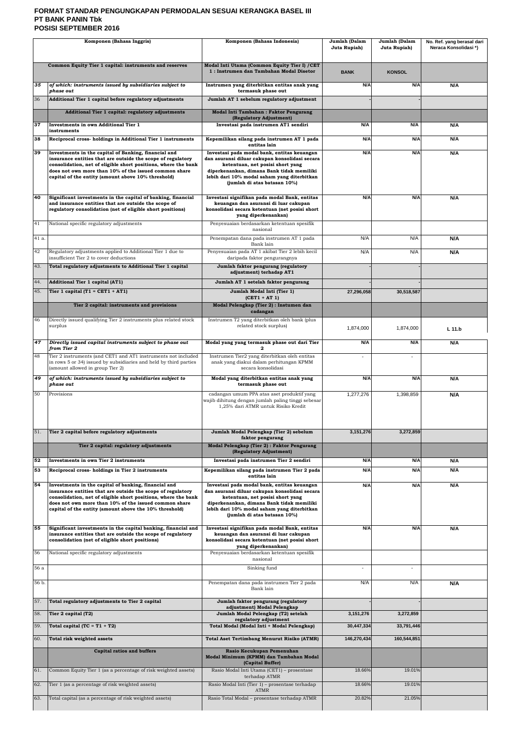## **FORMAT STANDAR PENGUNGKAPAN PERMODALAN SESUAI KERANGKA BASEL III PT BANK PANIN Tbk POSISI SEPTEMBER 2016**

| Komponen (Bahasa Inggris) |                                                                                                                                                                                                                                                                                                          | Komponen (Bahasa Indonesia)                                                                                                                                                                                                                                   | Jumlah (Dalam<br>Juta Rupiah) | Jumlah (Dalam<br>Juta Rupiah) | No. Ref. yang berasal dari<br>Neraca Konsolidasi*) |
|---------------------------|----------------------------------------------------------------------------------------------------------------------------------------------------------------------------------------------------------------------------------------------------------------------------------------------------------|---------------------------------------------------------------------------------------------------------------------------------------------------------------------------------------------------------------------------------------------------------------|-------------------------------|-------------------------------|----------------------------------------------------|
|                           |                                                                                                                                                                                                                                                                                                          |                                                                                                                                                                                                                                                               |                               |                               |                                                    |
|                           | Common Equity Tier 1 capital: instruments and reserves                                                                                                                                                                                                                                                   | Modal Inti Utama (Common Equity Tier I) / CET<br>1: Instrumen dan Tambahan Modal Disetor                                                                                                                                                                      | <b>BANK</b>                   | <b>KONSOL</b>                 |                                                    |
| 35                        | of which: instruments issued by subsidiaries subject to<br>phase out                                                                                                                                                                                                                                     | Instrumen yang diterbitkan entitas anak yang<br>termasuk phase out                                                                                                                                                                                            | N/A                           | N/A                           | N/A                                                |
| 36                        | Additional Tier 1 capital before regulatory adjustments                                                                                                                                                                                                                                                  | Jumlah AT 1 sebelum regulatory adjustment                                                                                                                                                                                                                     |                               |                               |                                                    |
|                           | Additional Tier 1 capital: regulatory adjustments                                                                                                                                                                                                                                                        | Modal Inti Tambahan: Faktor Pengurang<br>(Regulatory Adjustment)                                                                                                                                                                                              |                               |                               |                                                    |
| 37                        | <b>Investments in own Additional Tier 1</b><br>instruments                                                                                                                                                                                                                                               | Investasi pada instrumen AT1 sendiri                                                                                                                                                                                                                          | N/A                           | N/A                           | N/A                                                |
| 38                        | Reciprocal cross- holdings in Additional Tier 1 instruments                                                                                                                                                                                                                                              | Kepemilikan silang pada instrumen AT 1 pada<br>entitas lain                                                                                                                                                                                                   | N/A                           | N/A                           | N/A                                                |
| 39                        | Investments in the capital of Banking, financial and<br>insurance entities that are outside the scope of regulatory<br>consolidation, net of eligible short positions, where the bank<br>does not own more than 10% of the issued common share<br>capital of the entity (amount above 10% threshold)     | Investasi pada modal bank, entitas keuangan<br>dan asuransi diluar cakupan konsolidasi secara<br>ketentuan, net posisi short yang<br>diperkenankan, dimana Bank tidak memiliki<br>lebih dari 10% modal saham yang diterbitkan<br>(jumlah di atas batasan 10%) | N/A                           | N/A                           | N/A                                                |
| 40                        | Significant investments in the capital of banking, financial<br>and insurance entities that are outside the scope of<br>regulatory consolidation (net of eligible short positions)                                                                                                                       | Investasi signifikan pada modal Bank, entitas<br>keuangan dan asuransi di luar cakupan<br>konsolidasi secara ketentuan (net posisi short<br>yang diperkenankan)                                                                                               | N/A                           | N/A                           | N/A                                                |
| 41                        | National specific regulatory adjustments                                                                                                                                                                                                                                                                 | Penyesuaian berdasarkan ketentuan spesifik<br>nasional                                                                                                                                                                                                        |                               |                               |                                                    |
| 41 a.                     |                                                                                                                                                                                                                                                                                                          | Penempatan dana pada instrumen AT 1 pada<br>Bank lain                                                                                                                                                                                                         | N/A                           | N/A                           | N/A                                                |
| 42                        | Regulatory adjustments applied to Additional Tier 1 due to<br>insufficient Tier 2 to cover deductions                                                                                                                                                                                                    | Penyesuaian pada AT 1 akibat Tier 2 lebih kecil<br>daripada faktor pengurangnya                                                                                                                                                                               | N/A                           | N/A                           | N/A                                                |
| 43.                       | Total regulatory adjustments to Additional Tier 1 capital                                                                                                                                                                                                                                                | Jumlah faktor pengurang (regulatory<br>adjustment) terhadap AT1                                                                                                                                                                                               |                               |                               |                                                    |
| 44.                       | Additional Tier 1 capital (AT1)                                                                                                                                                                                                                                                                          | Jumlah AT 1 setelah faktor pengurang                                                                                                                                                                                                                          |                               |                               |                                                    |
| 45.                       | Tier 1 capital $(T1 = CET1 + AT1)$                                                                                                                                                                                                                                                                       | Jumlah Modal Inti (Tier 1)<br>$(CET1 + AT1)$                                                                                                                                                                                                                  | 27,296,058                    | 30,518,587                    |                                                    |
|                           | Tier 2 capital: instruments and provisions                                                                                                                                                                                                                                                               | Modal Pelengkap (Tier 2) : Instumen dan<br>cadangan                                                                                                                                                                                                           |                               |                               |                                                    |
| 46                        | Directly issued qualifying Tier 2 instruments plus related stock<br>surplus                                                                                                                                                                                                                              | Instrumen T2 yang diterbitkan oleh bank (plus<br>related stock surplus)                                                                                                                                                                                       | 1,874,000                     | 1,874,000                     | L 11.b                                             |
| 47                        | Directly issued capital instruments subject to phase out<br>from Tier 2                                                                                                                                                                                                                                  | Modal yang yang termasuk phase out dari Tier<br>2.                                                                                                                                                                                                            | N/A                           | N/A                           | N/A                                                |
| 48                        | Tier 2 instruments (and CET1 and AT1 instruments not included<br>in rows 5 or 34) issued by subsidiaries and held by third parties<br>(amount allowed in group Tier 2)                                                                                                                                   | Instrumen Tier2 yang diterbitkan oleh entitas<br>anak yang diakui dalam perhitungan KPMM<br>secara konsolidasi                                                                                                                                                | $\overline{\phantom{a}}$      |                               |                                                    |
| 49                        | of which: instruments issued by subsidiaries subject to<br>phase out                                                                                                                                                                                                                                     | Modal yang diterbitkan entitas anak yang<br>termasuk phase out                                                                                                                                                                                                | N/A                           | N/A                           | N/A                                                |
| 50                        | Provisions                                                                                                                                                                                                                                                                                               | cadangan umum PPA atas aset produktif yang<br>wajib dihitung dengan jumlah paling tinggi sebesar<br>1,25% dari ATMR untuk Risiko Kredit                                                                                                                       | 1,277,276                     | 1,398,859                     | N/A                                                |
| 51.                       | Tier 2 capital before regulatory adjustments                                                                                                                                                                                                                                                             | Jumlah Modal Pelengkap (Tier 2) sebelum                                                                                                                                                                                                                       | 3,151,276                     | 3,272,859                     |                                                    |
|                           | Tier 2 capital: regulatory adjustments                                                                                                                                                                                                                                                                   | faktor pengurang<br>Modal Pelengkap (Tier 2): Faktor Pengurang<br>(Regulatory Adjustment)                                                                                                                                                                     |                               |                               |                                                    |
| 52                        | Investments in own Tier 2 instruments                                                                                                                                                                                                                                                                    | Investasi pada instrumen Tier 2 sendiri                                                                                                                                                                                                                       | N/A                           | N/A                           | N/A                                                |
| 53                        | Reciprocal cross- holdings in Tier 2 instruments                                                                                                                                                                                                                                                         | Kepemilikan silang pada instrumen Tier 2 pada<br>entitas lain                                                                                                                                                                                                 | N/A                           | N/A                           | N/A                                                |
| 54                        | Investments in the capital of banking, financial and<br>insurance entities that are outside the scope of regulatory<br>consolidation, net of eligible short positions, where the bank<br>does not own more than 10% of the issued common share<br>capital of the entity (amount above the 10% threshold) | Investasi pada modal bank, entitas keuangan<br>dan asuransi diluar cakupan konsolidasi secara<br>ketentuan, net posisi short yang<br>diperkenankan, dimana Bank tidak memiliki<br>lebih dari 10% modal saham yang diterbitkan<br>(jumlah di atas batasan 10%) | N/A                           | N/A                           | N/A                                                |
| 55                        | Significant investments in the capital banking, financial and<br>insurance entities that are outside the scope of regulatory<br>consolidation (net of eligible short positions)                                                                                                                          | Investasi signifikan pada modal Bank, entitas<br>keuangan dan asuransi di luar cakupan<br>konsolidasi secara ketentuan (net posisi short<br>yang diperkenankan)                                                                                               | N/A                           | N/A                           | N/A                                                |
| 56                        | National specific regulatory adjustments                                                                                                                                                                                                                                                                 | Penyesuaian berdasarkan ketentuan spesifik<br>nasional                                                                                                                                                                                                        |                               |                               |                                                    |
| 56 a                      |                                                                                                                                                                                                                                                                                                          | Sinking fund                                                                                                                                                                                                                                                  | $\blacksquare$                | $\blacksquare$                |                                                    |
| 56 b.                     |                                                                                                                                                                                                                                                                                                          | Penempatan dana pada instrumen Tier 2 pada<br>Bank lain                                                                                                                                                                                                       | N/A                           | N/A                           | N/A                                                |
| 57.                       | Total regulatory adjustments to Tier 2 capital                                                                                                                                                                                                                                                           | Jumlah faktor pengurang (regulatory<br>adjustment) Modal Pelengkap                                                                                                                                                                                            |                               |                               |                                                    |
| 58.                       | Tier 2 capital (T2)                                                                                                                                                                                                                                                                                      | Jumlah Modal Pelengkap (T2) setelah<br>regulatory adjustment                                                                                                                                                                                                  | 3,151,276                     | 3,272,859                     |                                                    |
| 59.                       | Total capital $(TC = T1 + T2)$                                                                                                                                                                                                                                                                           | Total Modal (Modal Inti + Modal Pelengkap)                                                                                                                                                                                                                    | 30,447,334                    | 33,791,446                    |                                                    |
| 60.                       | Total risk weighted assets<br>Capital ratios and buffers                                                                                                                                                                                                                                                 | <b>Total Aset Tertimbang Menurut Risiko (ATMR)</b><br>Rasio Kecukupan Pemenuhan                                                                                                                                                                               | 146,270,434                   | 160,544,851                   |                                                    |
|                           |                                                                                                                                                                                                                                                                                                          | Modal Minimum (KPMM) dan Tambahan Modal<br>(Capital Buffer)                                                                                                                                                                                                   |                               |                               |                                                    |
| 61.                       | Common Equity Tier 1 (as a percentage of risk weighted assets)                                                                                                                                                                                                                                           | Rasio Modal Inti Utama (CET1) - prosentase<br>terhadap ATMR                                                                                                                                                                                                   | 18.66%                        | 19.01%                        |                                                    |
| 62.                       | Tier 1 (as a percentage of risk weighted assets)                                                                                                                                                                                                                                                         | Rasio Modal Inti (Tier 1) - prosentase terhadap<br>ATMR                                                                                                                                                                                                       | 18.66%                        | 19.01%                        |                                                    |
| 63.                       | Total capital (as a percentage of risk weighted assets)                                                                                                                                                                                                                                                  | Rasio Total Modal - prosentase terhadap ATMR                                                                                                                                                                                                                  | 20.82%                        | 21.05%                        |                                                    |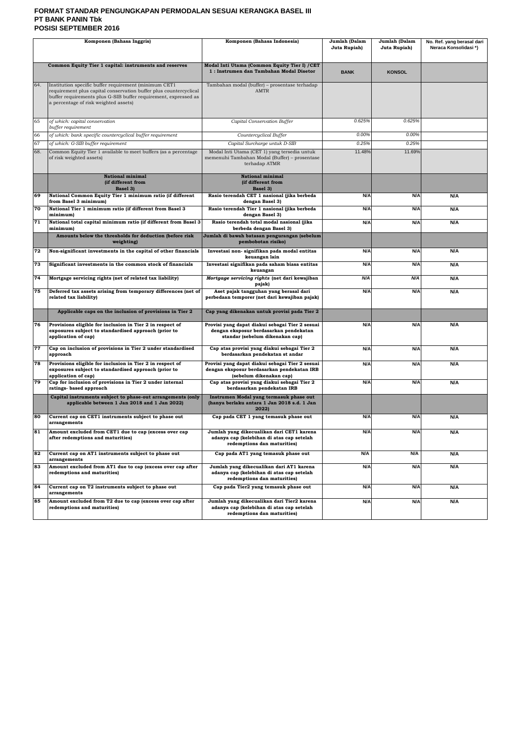### **FORMAT STANDAR PENGUNGKAPAN PERMODALAN SESUAI KERANGKA BASEL III PT BANK PANIN Tbk POSISI SEPTEMBER 2016**

| Komponen (Bahasa Inggris)                                                                                                                                                                                                                     |                                                                                                                                          | Komponen (Bahasa Indonesia)                                                                                                  | Jumlah (Dalam<br>Juta Rupiah) | Jumlah (Dalam<br>Juta Rupiah) | No. Ref. yang berasal dari<br>Neraca Konsolidasi*) |
|-----------------------------------------------------------------------------------------------------------------------------------------------------------------------------------------------------------------------------------------------|------------------------------------------------------------------------------------------------------------------------------------------|------------------------------------------------------------------------------------------------------------------------------|-------------------------------|-------------------------------|----------------------------------------------------|
|                                                                                                                                                                                                                                               | Common Equity Tier 1 capital: instruments and reserves                                                                                   | Modal Inti Utama (Common Equity Tier I) / CET<br>1: Instrumen dan Tambahan Modal Disetor                                     | <b>BANK</b>                   | <b>KONSOL</b>                 |                                                    |
| Institution specific buffer requirement (minimum CET1<br>64.<br>requirement plus capital conservation buffer plus countercyclical<br>buffer requirements plus G-SIB buffer requirement, expressed as<br>a percentage of risk weighted assets) |                                                                                                                                          | Tambahan modal (buffer) - prosentase terhadap<br><b>AMTR</b>                                                                 |                               |                               |                                                    |
| 65                                                                                                                                                                                                                                            | of which: capital conservation<br>buffer requirement                                                                                     | Capital Conservation Buffer                                                                                                  | 0.625%                        | 0.625%                        |                                                    |
| 66                                                                                                                                                                                                                                            | of which: bank specific countercyclical buffer requirement                                                                               | Countercyclical Buffer                                                                                                       | 0.00%                         | 0.00%                         |                                                    |
| 67                                                                                                                                                                                                                                            | of which: G-SIB buffer requirement                                                                                                       | Capital Surcharge untuk D-SIB                                                                                                | 0.25%                         | 0.25%                         |                                                    |
| 68.                                                                                                                                                                                                                                           | Common Equity Tier 1 available to meet buffers (as a percentage<br>of risk weighted assets)                                              | Modal Inti Utama (CET 1) yang tersedia untuk<br>memenuhi Tambahan Modal (Buffer) - prosentase<br>terhadap ATMR               | 11.48%                        | 11.69%                        |                                                    |
|                                                                                                                                                                                                                                               | National minimal<br>(if different from<br>Basel 3)                                                                                       | <b>National minimal</b><br>(if different from<br>Basel 3)                                                                    |                               |                               |                                                    |
| 69                                                                                                                                                                                                                                            | National Common Equity Tier 1 minimum ratio (if different<br>from Basel 3 minimum)                                                       | Rasio terendah CET 1 nasional (jika berbeda<br>dengan Basel 3)                                                               | N/A                           | N/A                           | N/A                                                |
| 70                                                                                                                                                                                                                                            | National Tier 1 minimum ratio (if different from Basel 3<br>minimum)                                                                     | Rasio terendah Tier 1 nasional (jika berbeda<br>dengan Basel 3)                                                              | N/A                           | N/A                           | N/A                                                |
| 71                                                                                                                                                                                                                                            | National total capital minimum ratio (if different from Basel 3<br>minimum)                                                              | Rasio terendah total modal nasional (jika<br>berbeda dengan Basel 3)                                                         | N/A                           | N/A                           | N/A                                                |
|                                                                                                                                                                                                                                               | Amounts below the thresholds for deduction (before risk<br>weighting)                                                                    | Jumlah di bawah batasan pengurangan (sebelum<br>pembobotan risiko)                                                           |                               |                               |                                                    |
| 72                                                                                                                                                                                                                                            | Non-significant investments in the capital of other financials                                                                           | Investasi non- signifikan pada modal entitas<br>keuangan lain                                                                | N/A                           | N/A                           | N/A                                                |
| 73                                                                                                                                                                                                                                            | Significant investments in the common stock of financials                                                                                | Investasi signifikan pada saham biasa entitas<br>keuangan                                                                    | N/A                           | N/A                           | N/A                                                |
| 74                                                                                                                                                                                                                                            | Mortgage servicing rights (net of related tax liability)                                                                                 | Mortgage servicing rights (net dari kewajiban<br>pajak)                                                                      | N/A                           | N/A                           | N/A                                                |
| 75                                                                                                                                                                                                                                            | Deferred tax assets arising from temporary differences (net of<br>related tax liability)                                                 | Aset pajak tangguhan yang berasal dari<br>perbedaan temporer (net dari kewajiban pajak)                                      | N/A                           | N/A                           | N/A                                                |
|                                                                                                                                                                                                                                               | Applicable caps on the inclusion of provisions in Tier 2                                                                                 | Cap yang dikenakan untuk provisi pada Tier 2                                                                                 |                               |                               |                                                    |
| 76                                                                                                                                                                                                                                            | Provisions eligible for inclusion in Tier 2 in respect of<br>exposures subject to standardised approach (prior to<br>application of cap) | Provisi yang dapat diakui sebagai Tier 2 sesuai<br>dengan eksposur berdasarkan pendekatan<br>standar (sebelum dikenakan cap) | N/A                           | N/A                           | N/A                                                |
| 77                                                                                                                                                                                                                                            | Cap on inclusion of provisions in Tier 2 under standardised<br>approach                                                                  | Cap atas provisi yang diakui sebagai Tier 2<br>berdasarkan pendekatan st andar                                               | N/A                           | N/A                           | N/A                                                |
| 78                                                                                                                                                                                                                                            | Provisions eligible for inclusion in Tier 2 in respect of<br>exposures subject to standardised approach (prior to<br>application of cap) | Provisi yang dapat diakui sebagai Tier 2 sesuai<br>dengan eksposur berdasarkan pendekatan IRB<br>(sebelum dikenakan cap)     | N/A                           | N/A                           | N/A                                                |
| 79                                                                                                                                                                                                                                            | Cap for inclusion of provisions in Tier 2 under internal<br>ratings-based approach                                                       | Cap atas provisi yang diakui sebagai Tier 2<br>berdasarkan pendekatan IRB                                                    | N/A                           | N/A                           | N/A                                                |
|                                                                                                                                                                                                                                               | Capital instruments subject to phase-out arrangements (only<br>applicable between 1 Jan 2018 and 1 Jan 2022)                             | Instrumen Modal yang termasuk phase out<br>(hanya berlaku antara 1 Jan 2018 s.d. 1 Jan<br>2022)                              |                               |                               |                                                    |
| 80                                                                                                                                                                                                                                            | Current cap on CET1 instruments subject to phase out<br>arrangements                                                                     | Cap pada CET 1 yang temasuk phase out                                                                                        | N/A                           | N/A                           | N/A                                                |
| 81                                                                                                                                                                                                                                            | Amount excluded from CET1 due to cap (excess over cap<br>after redemptions and maturities)                                               | Jumlah yang dikecualikan dari CET1 karena<br>adanya cap (kelebihan di atas cap setelah<br>redemptions dan maturities)        | N/A                           | N/A                           | N/A                                                |
| 82                                                                                                                                                                                                                                            | Current cap on AT1 instruments subject to phase out<br>arrangements                                                                      | Cap pada AT1 yang temasuk phase out                                                                                          | N/A                           | N/A                           | N/A                                                |
| 83                                                                                                                                                                                                                                            | Amount excluded from AT1 due to cap (excess over cap after<br>redemptions and maturities)                                                | Jumlah yang dikecualikan dari AT1 karena<br>adanya cap (kelebihan di atas cap setelah<br>redemptions dan maturities)         | N/A                           | N/A                           | N/A                                                |
| 84                                                                                                                                                                                                                                            | Current cap on T2 instruments subject to phase out<br>arrangements                                                                       | Cap pada Tier2 yang temasuk phase out                                                                                        | N/A                           | N/A                           | N/A                                                |
| 85<br>Amount excluded from T2 due to cap (excess over cap after<br>redemptions and maturities)                                                                                                                                                |                                                                                                                                          | Jumlah yang dikecualikan dari Tier2 karena<br>adanya cap (kelebihan di atas cap setelah<br>redemptions dan maturities)       | N/A                           | N/A                           | N/A                                                |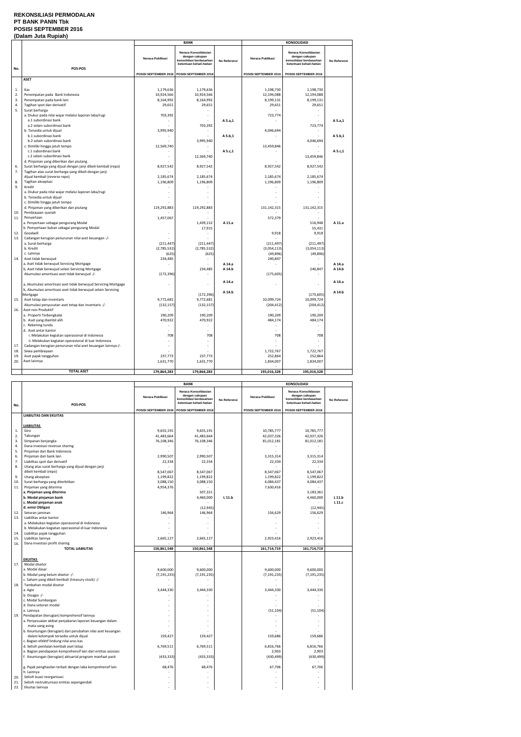#### **REKONSILIASI PERMODALAN PT BANK PANIN Tbk POSISI SEPTEMBER 2016 (Dalam Juta Rupiah)**

| Neraca Konsolidasian<br>Neraca Konsolidasian<br>dengan cakupan<br>dengan cakupan<br>Neraca Publikasi<br>Neraca Publikasi<br>konsolidasi berdasarkan<br>konsolidasi berdasarkan<br>No Referensi<br>ketentuan kehati-hatian<br>ketentuan kehati-hatian<br>POS-POS<br>No.<br>POSISI SEPTEMBER 2016 POSISI SEPTEMBER 2016<br>POSISI SEPTEMBER 2016<br>POSISI SEPTEMBER 2016<br><b>ASET</b><br>1.<br>Kas<br>1,179,636<br>1,179,636<br>1,198,730<br>1,198,730<br>2.<br>Penempatan pada Bank Indonesia<br>10,924,566<br>10,924,566<br>12,194,088<br>12,194,088<br>3.<br>Penempatan pada bank lain<br>8,164,992<br>8,199,131<br>8,164,992<br>8,199,131<br>4.<br>Tagihan spot dan derivatif<br>29,651<br>29,651<br>29,651<br>29,651<br>5.<br>Surat berharga<br>a. Diukur pada nilai wajar melalui laporan laba/rugi<br>703,392<br>723,774<br>$\sim$<br>a.1 subordinasi bank<br>A 5.a,1<br>703,392<br>723,774<br>a.2 selain subordinasi bank<br>b. Tersedia untuk dijual<br>3,995,940<br>4,046,694<br>$\omega$<br>÷<br>A 5.b,1<br>b.1 subordinasi bank<br>$\mathbf{r}$<br>3,995,940<br>4,046,694<br>b.2 selain subordinasi bank<br>c. Dimiliki hingga jatuh tempo<br>12,569,740<br>13,459,846<br>c.1 subordinasi bank<br>A 5.c,1<br>$\sim$<br>c.2 selain subordinasi bank<br>12,569,740<br>13,459,846 |              |
|---------------------------------------------------------------------------------------------------------------------------------------------------------------------------------------------------------------------------------------------------------------------------------------------------------------------------------------------------------------------------------------------------------------------------------------------------------------------------------------------------------------------------------------------------------------------------------------------------------------------------------------------------------------------------------------------------------------------------------------------------------------------------------------------------------------------------------------------------------------------------------------------------------------------------------------------------------------------------------------------------------------------------------------------------------------------------------------------------------------------------------------------------------------------------------------------------------------------------------------------------------------------------------------------|--------------|
|                                                                                                                                                                                                                                                                                                                                                                                                                                                                                                                                                                                                                                                                                                                                                                                                                                                                                                                                                                                                                                                                                                                                                                                                                                                                                             | No Referensi |
|                                                                                                                                                                                                                                                                                                                                                                                                                                                                                                                                                                                                                                                                                                                                                                                                                                                                                                                                                                                                                                                                                                                                                                                                                                                                                             |              |
|                                                                                                                                                                                                                                                                                                                                                                                                                                                                                                                                                                                                                                                                                                                                                                                                                                                                                                                                                                                                                                                                                                                                                                                                                                                                                             |              |
|                                                                                                                                                                                                                                                                                                                                                                                                                                                                                                                                                                                                                                                                                                                                                                                                                                                                                                                                                                                                                                                                                                                                                                                                                                                                                             |              |
|                                                                                                                                                                                                                                                                                                                                                                                                                                                                                                                                                                                                                                                                                                                                                                                                                                                                                                                                                                                                                                                                                                                                                                                                                                                                                             |              |
|                                                                                                                                                                                                                                                                                                                                                                                                                                                                                                                                                                                                                                                                                                                                                                                                                                                                                                                                                                                                                                                                                                                                                                                                                                                                                             |              |
|                                                                                                                                                                                                                                                                                                                                                                                                                                                                                                                                                                                                                                                                                                                                                                                                                                                                                                                                                                                                                                                                                                                                                                                                                                                                                             |              |
|                                                                                                                                                                                                                                                                                                                                                                                                                                                                                                                                                                                                                                                                                                                                                                                                                                                                                                                                                                                                                                                                                                                                                                                                                                                                                             |              |
|                                                                                                                                                                                                                                                                                                                                                                                                                                                                                                                                                                                                                                                                                                                                                                                                                                                                                                                                                                                                                                                                                                                                                                                                                                                                                             |              |
|                                                                                                                                                                                                                                                                                                                                                                                                                                                                                                                                                                                                                                                                                                                                                                                                                                                                                                                                                                                                                                                                                                                                                                                                                                                                                             | A 5.a,1      |
|                                                                                                                                                                                                                                                                                                                                                                                                                                                                                                                                                                                                                                                                                                                                                                                                                                                                                                                                                                                                                                                                                                                                                                                                                                                                                             |              |
|                                                                                                                                                                                                                                                                                                                                                                                                                                                                                                                                                                                                                                                                                                                                                                                                                                                                                                                                                                                                                                                                                                                                                                                                                                                                                             |              |
|                                                                                                                                                                                                                                                                                                                                                                                                                                                                                                                                                                                                                                                                                                                                                                                                                                                                                                                                                                                                                                                                                                                                                                                                                                                                                             | A 5.b,1      |
|                                                                                                                                                                                                                                                                                                                                                                                                                                                                                                                                                                                                                                                                                                                                                                                                                                                                                                                                                                                                                                                                                                                                                                                                                                                                                             |              |
|                                                                                                                                                                                                                                                                                                                                                                                                                                                                                                                                                                                                                                                                                                                                                                                                                                                                                                                                                                                                                                                                                                                                                                                                                                                                                             |              |
|                                                                                                                                                                                                                                                                                                                                                                                                                                                                                                                                                                                                                                                                                                                                                                                                                                                                                                                                                                                                                                                                                                                                                                                                                                                                                             | A 5.c,1      |
|                                                                                                                                                                                                                                                                                                                                                                                                                                                                                                                                                                                                                                                                                                                                                                                                                                                                                                                                                                                                                                                                                                                                                                                                                                                                                             |              |
| d. Pinjaman yang diberikan dan piutang                                                                                                                                                                                                                                                                                                                                                                                                                                                                                                                                                                                                                                                                                                                                                                                                                                                                                                                                                                                                                                                                                                                                                                                                                                                      |              |
| Surat berharga yang dijual dengan janji dibeli kembali (repo)<br>8,927,542<br>8,927,542<br>8,927,542<br>8,927,542<br>6.                                                                                                                                                                                                                                                                                                                                                                                                                                                                                                                                                                                                                                                                                                                                                                                                                                                                                                                                                                                                                                                                                                                                                                     |              |
| 7.<br>Tagihan atas surat berharga yang dibeli dengan janji                                                                                                                                                                                                                                                                                                                                                                                                                                                                                                                                                                                                                                                                                                                                                                                                                                                                                                                                                                                                                                                                                                                                                                                                                                  |              |
| dijual kembali (reverse repo)<br>2,185,674<br>2,185,674<br>2,185,674<br>2,185,674<br>8.<br>Tagihan akseptasi<br>1,196,809<br>1,196,809<br>1,196,809<br>1,196,809                                                                                                                                                                                                                                                                                                                                                                                                                                                                                                                                                                                                                                                                                                                                                                                                                                                                                                                                                                                                                                                                                                                            |              |
| 9.<br>Kredit                                                                                                                                                                                                                                                                                                                                                                                                                                                                                                                                                                                                                                                                                                                                                                                                                                                                                                                                                                                                                                                                                                                                                                                                                                                                                |              |
| a. Diukur pada nilai wajar melalui laporan laba/rugi<br>$\sim$                                                                                                                                                                                                                                                                                                                                                                                                                                                                                                                                                                                                                                                                                                                                                                                                                                                                                                                                                                                                                                                                                                                                                                                                                              |              |
| b. Tersedia untuk dijual                                                                                                                                                                                                                                                                                                                                                                                                                                                                                                                                                                                                                                                                                                                                                                                                                                                                                                                                                                                                                                                                                                                                                                                                                                                                    |              |
| c. Dimiliki hingga jatuh tempo                                                                                                                                                                                                                                                                                                                                                                                                                                                                                                                                                                                                                                                                                                                                                                                                                                                                                                                                                                                                                                                                                                                                                                                                                                                              |              |
| d. Pinjaman yang diberikan dan piutang<br>119,292,883<br>119,292,883<br>131,142,315<br>131,142,315                                                                                                                                                                                                                                                                                                                                                                                                                                                                                                                                                                                                                                                                                                                                                                                                                                                                                                                                                                                                                                                                                                                                                                                          |              |
| Pembiayaan syariah<br>10.                                                                                                                                                                                                                                                                                                                                                                                                                                                                                                                                                                                                                                                                                                                                                                                                                                                                                                                                                                                                                                                                                                                                                                                                                                                                   |              |
| 11.<br>Penyertaan<br>1,457,067<br>572,379                                                                                                                                                                                                                                                                                                                                                                                                                                                                                                                                                                                                                                                                                                                                                                                                                                                                                                                                                                                                                                                                                                                                                                                                                                                   |              |
| a. Penyertaan sebagai pengurang Modal<br>1,439,152<br>A 11.a<br>516,948                                                                                                                                                                                                                                                                                                                                                                                                                                                                                                                                                                                                                                                                                                                                                                                                                                                                                                                                                                                                                                                                                                                                                                                                                     | A 11.a       |
| b. Pemyertaan bukan sebagai pengurang Modal<br>17,915<br>55,431                                                                                                                                                                                                                                                                                                                                                                                                                                                                                                                                                                                                                                                                                                                                                                                                                                                                                                                                                                                                                                                                                                                                                                                                                             |              |
| Goodwill<br>9,918<br>9,918<br>12.<br>$\bar{a}$                                                                                                                                                                                                                                                                                                                                                                                                                                                                                                                                                                                                                                                                                                                                                                                                                                                                                                                                                                                                                                                                                                                                                                                                                                              |              |
| 13.<br>Cadangan kerugian penurunan nilai aset keuangan -/-<br>a. Surat berharga<br>(211, 497)<br>(211, 497)<br>(211, 447)<br>(211, 447)                                                                                                                                                                                                                                                                                                                                                                                                                                                                                                                                                                                                                                                                                                                                                                                                                                                                                                                                                                                                                                                                                                                                                     |              |
| b. Kredit<br>(2,785,532)<br>(2,785,532)<br>(3,054,113)<br>(3,054,113)                                                                                                                                                                                                                                                                                                                                                                                                                                                                                                                                                                                                                                                                                                                                                                                                                                                                                                                                                                                                                                                                                                                                                                                                                       |              |
| (625)<br>(625)<br>(49, 896)<br>(49, 896)<br>c. Lainnya                                                                                                                                                                                                                                                                                                                                                                                                                                                                                                                                                                                                                                                                                                                                                                                                                                                                                                                                                                                                                                                                                                                                                                                                                                      |              |
| Aset tidak berwujud<br>234,485<br>240,847<br>14.                                                                                                                                                                                                                                                                                                                                                                                                                                                                                                                                                                                                                                                                                                                                                                                                                                                                                                                                                                                                                                                                                                                                                                                                                                            |              |
| a, Aset tidak berwujud Servicing Mortgage<br>A 14.a                                                                                                                                                                                                                                                                                                                                                                                                                                                                                                                                                                                                                                                                                                                                                                                                                                                                                                                                                                                                                                                                                                                                                                                                                                         | A 14.a       |
| b, Aset tidak berwujud selain Servicing Mortgage<br>234,485<br>A 14.b<br>240,847                                                                                                                                                                                                                                                                                                                                                                                                                                                                                                                                                                                                                                                                                                                                                                                                                                                                                                                                                                                                                                                                                                                                                                                                            | A 14.b       |
| Akumulasi amortisasi aset tidak berwujud -/-<br>(172, 396)<br>(175, 605)                                                                                                                                                                                                                                                                                                                                                                                                                                                                                                                                                                                                                                                                                                                                                                                                                                                                                                                                                                                                                                                                                                                                                                                                                    |              |
| A 14.a                                                                                                                                                                                                                                                                                                                                                                                                                                                                                                                                                                                                                                                                                                                                                                                                                                                                                                                                                                                                                                                                                                                                                                                                                                                                                      | A 14.a       |
| a, Akumulasi amortisasi aset tidak berwujud Servicing Mortgage                                                                                                                                                                                                                                                                                                                                                                                                                                                                                                                                                                                                                                                                                                                                                                                                                                                                                                                                                                                                                                                                                                                                                                                                                              |              |
| b, Akumulasi amortisasi aset tidak berwujud selain Servicing<br>A 14.b                                                                                                                                                                                                                                                                                                                                                                                                                                                                                                                                                                                                                                                                                                                                                                                                                                                                                                                                                                                                                                                                                                                                                                                                                      | A 14.b       |
| (172, 396)<br>(175, 605)<br>Mortgage<br>9,772,681<br>9,772,681<br>10,099,724<br>10,099,724<br>15.<br>Aset tetap dan inventaris                                                                                                                                                                                                                                                                                                                                                                                                                                                                                                                                                                                                                                                                                                                                                                                                                                                                                                                                                                                                                                                                                                                                                              |              |
| Akumulasi penyusutan aset tetap dan inventaris -/-<br>(132, 157)<br>(132, 157)<br>(204, 412)<br>(204, 412)                                                                                                                                                                                                                                                                                                                                                                                                                                                                                                                                                                                                                                                                                                                                                                                                                                                                                                                                                                                                                                                                                                                                                                                  |              |
| Aset non Produktif<br>16.                                                                                                                                                                                                                                                                                                                                                                                                                                                                                                                                                                                                                                                                                                                                                                                                                                                                                                                                                                                                                                                                                                                                                                                                                                                                   |              |
| 190.209<br>190,209<br>a. Properti Terbengkalai<br>190,209<br>190,209                                                                                                                                                                                                                                                                                                                                                                                                                                                                                                                                                                                                                                                                                                                                                                                                                                                                                                                                                                                                                                                                                                                                                                                                                        |              |
| 470,922<br>b. Aset yang diambil alih<br>470,922<br>484,174<br>484,174                                                                                                                                                                                                                                                                                                                                                                                                                                                                                                                                                                                                                                                                                                                                                                                                                                                                                                                                                                                                                                                                                                                                                                                                                       |              |
| c. Rekening tunda                                                                                                                                                                                                                                                                                                                                                                                                                                                                                                                                                                                                                                                                                                                                                                                                                                                                                                                                                                                                                                                                                                                                                                                                                                                                           |              |
| d. Aset antar kantor<br>$\sim$                                                                                                                                                                                                                                                                                                                                                                                                                                                                                                                                                                                                                                                                                                                                                                                                                                                                                                                                                                                                                                                                                                                                                                                                                                                              |              |
| i. Melakukan kegiatan operasional di Indonesia<br>708<br>708<br>708<br>708                                                                                                                                                                                                                                                                                                                                                                                                                                                                                                                                                                                                                                                                                                                                                                                                                                                                                                                                                                                                                                                                                                                                                                                                                  |              |
| ii. Melakukan kegiatan operasional di luar Indonesia                                                                                                                                                                                                                                                                                                                                                                                                                                                                                                                                                                                                                                                                                                                                                                                                                                                                                                                                                                                                                                                                                                                                                                                                                                        |              |
| Cadangan kerugian penurunan nilai aset keuangan lainnya-/-<br>17.                                                                                                                                                                                                                                                                                                                                                                                                                                                                                                                                                                                                                                                                                                                                                                                                                                                                                                                                                                                                                                                                                                                                                                                                                           |              |
| 18.<br>Sewa pembiayaan<br>1,722,767<br>1,722,767                                                                                                                                                                                                                                                                                                                                                                                                                                                                                                                                                                                                                                                                                                                                                                                                                                                                                                                                                                                                                                                                                                                                                                                                                                            |              |
| Aset pajak tangguhan<br>237,773<br>19<br>237,773<br>252,864<br>252,864<br>1,631,770<br>20.<br>Aset lainnya<br>1,631,770<br>1,834,007<br>1,834,007                                                                                                                                                                                                                                                                                                                                                                                                                                                                                                                                                                                                                                                                                                                                                                                                                                                                                                                                                                                                                                                                                                                                           |              |
|                                                                                                                                                                                                                                                                                                                                                                                                                                                                                                                                                                                                                                                                                                                                                                                                                                                                                                                                                                                                                                                                                                                                                                                                                                                                                             |              |
| <b>TOTAL ASET</b><br>179,864,283<br>179,864,283<br>195,016,328<br>195,016,328                                                                                                                                                                                                                                                                                                                                                                                                                                                                                                                                                                                                                                                                                                                                                                                                                                                                                                                                                                                                                                                                                                                                                                                                               |              |

|            |                                                                            |                       | <b>BANK</b>                                                                                  |              | <b>KONSOLIDASI</b>    |                                                                                              |              |
|------------|----------------------------------------------------------------------------|-----------------------|----------------------------------------------------------------------------------------------|--------------|-----------------------|----------------------------------------------------------------------------------------------|--------------|
| No.        | POS-POS                                                                    | Neraca Publikasi      | Neraca Konsolidasian<br>dengan cakupan<br>konsolidasi berdasarkan<br>ketentuan kehati-hatian | No Referensi | Neraca Publikasi      | Neraca Konsolidasian<br>dengan cakupan<br>konsolidasi berdasarkan<br>ketentuan kehati-hatian | No Referensi |
|            |                                                                            | POSISI SEPTEMBER 2016 | POSISI SEPTEMBER 2016                                                                        |              | POSISI SEPTEMBER 2016 | POSISI SEPTEMBER 2016                                                                        |              |
|            | <b>LIABILITAS DAN EKUITAS</b>                                              |                       |                                                                                              |              |                       |                                                                                              |              |
|            |                                                                            |                       |                                                                                              |              |                       |                                                                                              |              |
|            | <b>LIABILITAS</b>                                                          |                       |                                                                                              |              |                       |                                                                                              |              |
| 1.         | Giro                                                                       | 9,655,191             | 9,655,191                                                                                    |              | 10,785,777            | 10,785,777                                                                                   |              |
| 2.         | Tabungan                                                                   | 41,483,664            | 41,483,664                                                                                   |              | 42,037,326            | 42,037,326                                                                                   |              |
| 3.         | Simpanan berjangka                                                         | 76,108,346            | 76,108,346                                                                                   |              | 81,012,181            | 81,012,181                                                                                   |              |
| 4.         | Dana investasi revenue sharing                                             |                       |                                                                                              |              |                       |                                                                                              |              |
| 5.         | Pinjaman dari Bank Indonesia                                               |                       |                                                                                              |              |                       |                                                                                              |              |
| 6.         | Pinjaman dari bank lain                                                    | 2,990,507             | 2,990,507                                                                                    |              | 3,315,314             | 3,315,314                                                                                    |              |
| 7.         | Liabilitas spot dan derivatif                                              | 22,334                | 22,334                                                                                       |              | 22,334                | 22,334                                                                                       |              |
| 8.         | Utang atas surat berharga yang dijual dengan janji                         |                       |                                                                                              |              |                       |                                                                                              |              |
|            | dibeli kembali (repo)                                                      | 8,547,067             | 8,547,067                                                                                    |              | 8,547,067             | 8,547,067                                                                                    |              |
| 9.         | Utang akseptasi                                                            | 1,199,822             | 1,199,822                                                                                    |              | 1,199,822             | 1,199,822                                                                                    |              |
| 10.        | Surat berharga yang diterbitkan                                            | 3,088,150             | 3,088,150                                                                                    |              | 4,084,437             | 4,084,437                                                                                    |              |
| 11.        | Pinjaman yang diterima                                                     | 4,954,376             |                                                                                              |              | 7,630,416             |                                                                                              |              |
|            | a. Pinjaman yang diterima                                                  |                       | 507,321                                                                                      |              |                       | 3,183,361                                                                                    |              |
|            | b. Modal pinjaman bank                                                     |                       | 4,460,000                                                                                    | $L$ 11.b     |                       | 4,460,000                                                                                    | L11.b        |
|            | c. Modal pinjaman anak                                                     |                       |                                                                                              |              |                       |                                                                                              | L 11.c       |
|            | d. emisi Obligasi                                                          |                       | (12, 945)                                                                                    |              |                       | (12, 945)                                                                                    |              |
| 12.        | Setoran jaminan                                                            | 146,964               | 146,964                                                                                      |              | 156,629               | 156,629                                                                                      |              |
| 13.        | Liabilitas antar kantor                                                    |                       |                                                                                              |              |                       |                                                                                              |              |
|            | a. Melakukan kegiatan operasional di Indonesia                             |                       |                                                                                              |              | ÷                     |                                                                                              |              |
|            | b. Melakukan kegiatan operasional di luar Indonesia                        |                       |                                                                                              |              |                       |                                                                                              |              |
| 14.<br>15. | Liabilitas pajak tangguhan<br>Liabilitas lainnya                           |                       | 2,665,127                                                                                    |              | 2,923,416             | 2,923,416                                                                                    |              |
| 16.        | Dana investasi profit sharing                                              | 2,665,127             |                                                                                              |              |                       |                                                                                              |              |
|            | <b>TOTAL LIABILITAS</b>                                                    | 150,861,548           | 150,861,548                                                                                  |              | 161,714,719           | 161,714,719                                                                                  |              |
|            |                                                                            |                       |                                                                                              |              |                       |                                                                                              |              |
|            | <b>EKUITAS</b>                                                             |                       |                                                                                              |              |                       |                                                                                              |              |
| 17.        | Modal disetor                                                              |                       |                                                                                              |              |                       |                                                                                              |              |
|            | a. Modal dasar                                                             | 9,600,000             | 9,600,000                                                                                    |              | 9,600,000             | 9,600,000                                                                                    |              |
|            | b. Modal yang belum disetor -/-                                            | (7, 191, 235)         | (7, 191, 235)                                                                                |              | (7, 191, 235)         | (7, 191, 235)                                                                                |              |
|            | c. Saham yang dibeli kembali (treasury stock) -/-                          |                       | ÷                                                                                            |              | $\sim$                | $\sim$                                                                                       |              |
| 18.        | Tambahan modal disetor                                                     |                       |                                                                                              |              |                       |                                                                                              |              |
|            | a. Agio                                                                    | 3,444,330             | 3,444,330                                                                                    |              | 3,444,330             | 3,444,330                                                                                    |              |
|            | b. Disagio -/-                                                             |                       |                                                                                              |              |                       |                                                                                              |              |
|            | c. Modal Sumbangan                                                         |                       |                                                                                              |              |                       |                                                                                              |              |
|            | d. Dana setoran modal                                                      |                       |                                                                                              |              |                       |                                                                                              |              |
|            | e. Lainnya                                                                 |                       |                                                                                              |              | (51, 104)             | (51, 104)                                                                                    |              |
| 19.        | Pendapatan (kerugian) komprehensif lainnya                                 |                       |                                                                                              |              |                       |                                                                                              |              |
|            | a. Penyesuaian akibat penjabaran laporan keuangan dalam                    |                       |                                                                                              |              |                       |                                                                                              |              |
|            | mata uang asing                                                            |                       |                                                                                              |              |                       |                                                                                              |              |
|            | b. Keuntungan (kerugian) dari perubahan nilai aset keuangan                |                       |                                                                                              |              |                       |                                                                                              |              |
|            | dalam kelompok tersedia untuk dijual                                       | 159,427               | 159,427                                                                                      |              | 159,686               | 159,686                                                                                      |              |
|            | c. Bagian efektif lindung nilai arus kas                                   |                       |                                                                                              |              |                       |                                                                                              |              |
|            | d. Selisih penilaian kembali aset tetap                                    | 6,769,511             | 6,769,511                                                                                    |              | 6,816,766             | 6,816,766                                                                                    |              |
|            | e. Bagian pendapatan komprehensif lain dari entitas asosiasi               |                       |                                                                                              |              | 2,903                 | 2,903                                                                                        |              |
|            | f. Keuntungan (kerugian) aktuarial program manfaat pasti                   | (433, 333)            | (433, 333)                                                                                   |              | (430, 499)            | (430, 499)                                                                                   |              |
|            |                                                                            |                       |                                                                                              |              |                       |                                                                                              |              |
|            | g. Pajak penghasilan terkait dengan laba komprehensif lain                 | 68,476                | 68,476                                                                                       |              | 67,706                | 67,706                                                                                       |              |
|            | h. Lainnya                                                                 |                       |                                                                                              |              |                       |                                                                                              |              |
| 20.<br>21. | Selisih kuasi reorganisasi<br>Selisih restrukturisasi entitas sepengendali |                       |                                                                                              |              |                       |                                                                                              |              |
| 22.        | Ekuitas lainnya                                                            |                       |                                                                                              |              |                       |                                                                                              |              |
|            |                                                                            |                       |                                                                                              |              |                       |                                                                                              |              |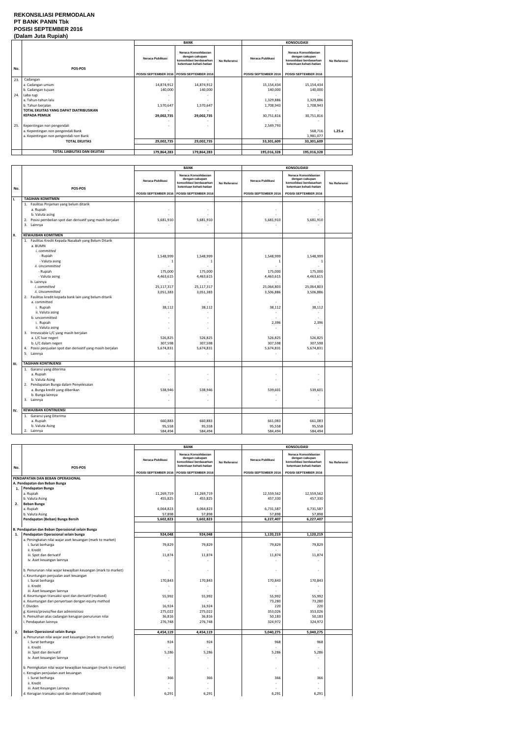#### **REKONSILIASI PERMODALAN PT BANK PANIN Tbk POSISI SEPTEMBER 2016 (Dalam Juta Rupiah)**

|     |                                        |                                             | <b>BANK</b>                                                                                  |              | <b>KONSOLIDASI</b>       |                                                                                              |              |
|-----|----------------------------------------|---------------------------------------------|----------------------------------------------------------------------------------------------|--------------|--------------------------|----------------------------------------------------------------------------------------------|--------------|
| No. | POS-POS                                | Neraca Publikasi                            | Neraca Konsolidasian<br>dengan cakupan<br>konsolidasi berdasarkan<br>ketentuan kehati-hatian | No Referensi | Neraca Publikasi         | Neraca Konsolidasian<br>dengan cakupan<br>konsolidasi berdasarkan<br>ketentuan kehati-hatian | No Referensi |
|     |                                        | POSISI SEPTEMBER 2016 POSISI SEPTEMBER 2016 |                                                                                              |              | POSISI SEPTEMBER 2016    | POSISI SEPTEMBER 2016                                                                        |              |
| 23. | Cadangan                               |                                             |                                                                                              |              | $\overline{\phantom{a}}$ | ٠                                                                                            |              |
|     | a. Cadangan umum                       | 14,874,912                                  | 14,874,912                                                                                   |              | 15,154,434               | 15,154,434                                                                                   |              |
|     | b. Cadangan tujuan                     | 140,000                                     | 140,000                                                                                      |              | 140,000                  | 140,000                                                                                      |              |
| 24. | Laba rugi                              |                                             |                                                                                              |              |                          | ٠                                                                                            |              |
|     | a. Tahun-tahun lalu                    |                                             |                                                                                              |              | 1,329,886                | 1,329,886                                                                                    |              |
|     | b. Tahun berjalan                      | 1,570,647                                   | 1,570,647                                                                                    |              | 1,708,943                | 1,708,943                                                                                    |              |
|     | TOTAL EKUITAS YANG DAPAT DIATRIBUSIKAN |                                             |                                                                                              |              |                          |                                                                                              |              |
|     | <b>KEPADA PEMILIK</b>                  | 29,002,735                                  | 29,002,735                                                                                   |              | 30,751,816               | 30,751,816                                                                                   |              |
|     |                                        |                                             |                                                                                              |              |                          |                                                                                              |              |
| 25. | Kepentingan non pengendali             |                                             |                                                                                              |              | 2,549,793                |                                                                                              |              |
|     | a. Kepentingan non pengendali Bank     |                                             |                                                                                              |              |                          | 568,716                                                                                      | L.25.a       |
|     | a. Kepentingan non pengendali non Bank |                                             |                                                                                              |              |                          | 1,981,077                                                                                    |              |
|     | <b>TOTAL EKUITAS</b>                   | 29,002,735                                  | 29,002,735                                                                                   |              | 33,301,609               | 33,301,609                                                                                   |              |
|     |                                        |                                             |                                                                                              |              |                          |                                                                                              |              |
|     | TOTAL LIABILITAS DAN EKUITAS           | 179,864,283                                 | 179,864,283                                                                                  |              | 195,016,328              | 195,016,328                                                                                  |              |

|     |                                                                                                                                                                                                                                                                                                                                                                                                                                                                                                                                                       |                                                                                                                                                       | <b>BANK</b>                                                                                                    |              |                                                                                                                              |                                                                                                                                                        |              |
|-----|-------------------------------------------------------------------------------------------------------------------------------------------------------------------------------------------------------------------------------------------------------------------------------------------------------------------------------------------------------------------------------------------------------------------------------------------------------------------------------------------------------------------------------------------------------|-------------------------------------------------------------------------------------------------------------------------------------------------------|----------------------------------------------------------------------------------------------------------------|--------------|------------------------------------------------------------------------------------------------------------------------------|--------------------------------------------------------------------------------------------------------------------------------------------------------|--------------|
| No. | POS-POS                                                                                                                                                                                                                                                                                                                                                                                                                                                                                                                                               | Neraca Publikasi                                                                                                                                      | Neraca Konsolidasian<br>dengan cakupan<br>konsolidasi berdasarkan<br>ketentuan kehati-hatian                   | No Referensi | Neraca Publikasi                                                                                                             | <b>KONSOLIDASI</b><br>Neraca Konsolidasian<br>dengan cakupan<br>konsolidasi berdasarkan<br>ketentuan kehati-hatian                                     | No Referensi |
|     |                                                                                                                                                                                                                                                                                                                                                                                                                                                                                                                                                       | POSISI SEPTEMBER 2016 POSISI SEPTEMBER 2016                                                                                                           |                                                                                                                |              | POSISI SEPTEMBER 2016                                                                                                        | POSISI SEPTEMBER 2016                                                                                                                                  |              |
| ı.  | <b>TAGIHAN KOMITMEN</b>                                                                                                                                                                                                                                                                                                                                                                                                                                                                                                                               |                                                                                                                                                       |                                                                                                                |              |                                                                                                                              |                                                                                                                                                        |              |
|     | 1. Fasilitas Pinjaman yang belum ditarik<br>a. Rupiah<br>b. Valuta asing<br>Posisi pembelian spot dan derivatif yang masih berjalan<br>2.<br>3. Lainnya                                                                                                                                                                                                                                                                                                                                                                                               | ÷,<br>5,681,910                                                                                                                                       | 5,681,910                                                                                                      |              | 5,681,910                                                                                                                    | 5,681,910                                                                                                                                              |              |
| н.  | <b>KEWAJIBAN KOMITMEN</b>                                                                                                                                                                                                                                                                                                                                                                                                                                                                                                                             |                                                                                                                                                       |                                                                                                                |              |                                                                                                                              |                                                                                                                                                        |              |
|     | 1. Fasilitas Kredit Kepada Nasabah yang Belum Ditarik<br>a. BUMN<br>i. committed<br>- Rupiah<br>- Valuta asing<br>ii. Uncommitted<br>- Rupiah<br>- Valuta asing<br>b. Lainnya<br>i. committed<br>ii. Uncommitted<br>2. Fasilitas kredit kepada bank lain yang belum ditarik<br>a. committed<br>i. Rupiah<br>ii. Valuta asing<br>b. uncommitted<br>i. Rupiah<br>ii. Valuta asing<br>3. Irrevocable L/C yang masih berjalan<br>a. L/C luar negeri<br>b. L/C dalam negeri<br>4. Posisi penjualan spot dan derivatif yang masih berjalan<br>5.<br>Lainnya | 1,548,999<br>$\mathbf{1}$<br>175,000<br>4,463,615<br>25,117,317<br>3,051,383<br>38,112<br>$\overline{\phantom{a}}$<br>526,825<br>307,598<br>5,674,831 | 1,548,999<br>1<br>175,000<br>4,463,615<br>25,117,317<br>3,051,383<br>38,112<br>526,825<br>307,598<br>5,674,831 |              | 1,548,999<br>1<br>175,000<br>4,463,615<br>25,064,803<br>3,506,886<br>38,112<br>٠<br>2,396<br>526,825<br>307,598<br>5,674,831 | 1,548,999<br>$\mathbf{1}$<br>175,000<br>4,463,615<br>25,064,803<br>3,506,886<br>$\sim$<br>38,112<br>$\sim$<br>2,396<br>526,825<br>307,598<br>5,674,831 |              |
|     |                                                                                                                                                                                                                                                                                                                                                                                                                                                                                                                                                       |                                                                                                                                                       |                                                                                                                |              |                                                                                                                              |                                                                                                                                                        |              |
| Ш.  | <b>TAGIHAN KONTINJENSI</b><br>1. Garansi yang diterima<br>a. Rupiah<br>b. Valuta Asing<br>2. Pendapatan Bunga dalam Penyelesaian<br>a. Bunga kredit yang diberikan<br>b. Bunga lainnya<br>3. Lainnya                                                                                                                                                                                                                                                                                                                                                  | 538,946                                                                                                                                               | 538,946                                                                                                        |              | ۳<br>539,601<br>ä,                                                                                                           | 539,601                                                                                                                                                |              |
|     | <b>KEWAJIBAN KONTINJENSI</b>                                                                                                                                                                                                                                                                                                                                                                                                                                                                                                                          |                                                                                                                                                       |                                                                                                                |              |                                                                                                                              |                                                                                                                                                        |              |
| IV. | 1. Garansi yang Diterima<br>a. Rupiah<br>b. Valuta Asing<br>2. Lainnya                                                                                                                                                                                                                                                                                                                                                                                                                                                                                | 660,883<br>95,558<br>584,494                                                                                                                          | 660,883<br>95,558<br>584,494                                                                                   |              | 661,083<br>95,558<br>584,494                                                                                                 | 661,083<br>95,558<br>584,494                                                                                                                           |              |

|     |                                                                |                       | <b>BANK</b>                                                                                  |              |                       |                                                                                              |              |
|-----|----------------------------------------------------------------|-----------------------|----------------------------------------------------------------------------------------------|--------------|-----------------------|----------------------------------------------------------------------------------------------|--------------|
|     |                                                                |                       |                                                                                              |              |                       | <b>KONSOLIDASI</b>                                                                           |              |
| No. | POS-POS                                                        | Neraca Publikasi      | Neraca Konsolidasian<br>dengan cakupan<br>konsolidasi berdasarkan<br>ketentuan kehati-hatian | No Referensi | Neraca Publikasi      | Neraca Konsolidasian<br>dengan cakupan<br>konsolidasi berdasarkan<br>ketentuan kehati-hatian | No Referensi |
|     |                                                                | POSISI SEPTEMBER 2016 | POSISI SEPTEMBER 2016                                                                        |              | POSISI SEPTEMBER 2016 | POSISI SEPTEMBER 2016                                                                        |              |
|     | PENDAPATAN DAN BEBAN OPERASIONAL                               |                       |                                                                                              |              |                       |                                                                                              |              |
|     | A. Pendapatan dan Beban Bunga                                  |                       |                                                                                              |              |                       |                                                                                              |              |
| 1.  | Pendapatan Bunga                                               |                       |                                                                                              |              |                       |                                                                                              |              |
|     | a. Rupiah                                                      | 11,269,719            | 11,269,719                                                                                   |              | 12,559,562            | 12,559,562                                                                                   |              |
|     | b. Valuta Asing                                                | 455,825               | 455,825                                                                                      |              | 457,330               | 457,330                                                                                      |              |
| 2.  | Beban Bunga                                                    |                       |                                                                                              |              |                       |                                                                                              |              |
|     | a. Rupiah                                                      | 6,064,823             | 6,064,823                                                                                    |              | 6,731,587             | 6,731,587                                                                                    |              |
|     | b. Valuta Asing                                                | 57,898                | 57,898                                                                                       |              | 57,898                | 57,898                                                                                       |              |
|     | Pendapatan (Beban) Bunga Bersih                                | 5,602,823             | 5,602,823                                                                                    |              | 6,227,407             | 6,227,407                                                                                    |              |
|     |                                                                |                       |                                                                                              |              |                       |                                                                                              |              |
|     | B. Pendapatan dan Beban Operasional selain Bunga               |                       |                                                                                              |              |                       |                                                                                              |              |
| 1.  | Pendapatan Operasional selain bunga                            | 924,048               | 924,048                                                                                      |              | 1,120,219             | 1,120,219                                                                                    |              |
|     | a. Peningkatan nilai wajar aset keuangan (mark to market)      |                       |                                                                                              |              |                       |                                                                                              |              |
|     | i. Surat berharga                                              | 79,829                | 79,829                                                                                       |              | 79,829                | 79,829                                                                                       |              |
|     | ii. Kredit                                                     |                       |                                                                                              |              |                       |                                                                                              |              |
|     | iii. Spot dan derivatif                                        | 11,874                | 11,874                                                                                       |              | 11,874                | 11,874                                                                                       |              |
|     | iv. Aset keuangan lainnya                                      |                       |                                                                                              |              |                       |                                                                                              |              |
|     |                                                                |                       |                                                                                              |              |                       |                                                                                              |              |
|     | b. Penurunan nilai wajar kewajiban keuangan (mark to market)   |                       |                                                                                              |              |                       |                                                                                              |              |
|     | c. Keuntungan penjualan aset keuangan                          |                       |                                                                                              |              |                       |                                                                                              |              |
|     | i. Surat berharga                                              | 170,843               | 170,843                                                                                      |              | 170,843               | 170,843                                                                                      |              |
|     | ii. Kredit                                                     |                       |                                                                                              |              |                       |                                                                                              |              |
|     | iii. Aset keuangan lainnya                                     |                       |                                                                                              |              |                       |                                                                                              |              |
|     | d. Keuntungan transaksi spot dan derivatif (realised)          | 55,992                | 55,992                                                                                       |              | 55,992                | 55,992                                                                                       |              |
|     | e. Keuntungan dari penyertaan dengan equity method             |                       |                                                                                              |              | 73,280                | 73,280                                                                                       |              |
|     | f. Dividen                                                     | 16,924                | 16,924                                                                                       |              | 220                   | 220                                                                                          |              |
|     | g. Komisi/provisi/fee dan administrasi                         | 275,022               | 275,022                                                                                      |              | 353,026               | 353,026                                                                                      |              |
|     | h. Pemulihan atas cadangan kerugian penurunan nilai            | 36,816                | 36,816                                                                                       |              | 50,183                | 50,183                                                                                       |              |
|     | i. Pendapatan lainnya                                          | 276,748               | 276,748                                                                                      |              | 324,972               | 324,972                                                                                      |              |
| 2.  | Beban Operasional selain Bunga                                 | 4,454,119             | 4,454,119                                                                                    |              | 5,040,275             | 5,040,275                                                                                    |              |
|     | a. Penurunan nilai wajar aset keuangan (mark to market)        |                       |                                                                                              |              |                       |                                                                                              |              |
|     | i. Surat berharga                                              | 924                   | 924                                                                                          |              | 968                   | 968                                                                                          |              |
|     | ii. Kredit                                                     |                       |                                                                                              |              |                       |                                                                                              |              |
|     | iii. Spot dan derivatif                                        | 5,286                 | 5,286                                                                                        |              | 5,286                 | 5,286                                                                                        |              |
|     | iv. Aset keuangan lainnya                                      |                       |                                                                                              |              |                       |                                                                                              |              |
|     |                                                                |                       |                                                                                              |              |                       |                                                                                              |              |
|     | b. Peningkatan nilai wajar kewajiban keuangan (mark to market) | ٠                     |                                                                                              |              | ٠                     | ÷.                                                                                           |              |
|     | c. Kerugian penjualan aset keuangan                            |                       |                                                                                              |              |                       |                                                                                              |              |
|     | i. Surat berharga                                              | 366                   | 366                                                                                          |              | 366                   | 366                                                                                          |              |
|     | ii. Kredit                                                     |                       |                                                                                              |              |                       |                                                                                              |              |
|     | iii. Aset Keuangan Lainnya                                     |                       |                                                                                              |              |                       |                                                                                              |              |
|     | d. Kerugian transaksi spot dan derivatif (realised)            | 6,291                 | 6,291                                                                                        |              | 6,291                 | 6,291                                                                                        |              |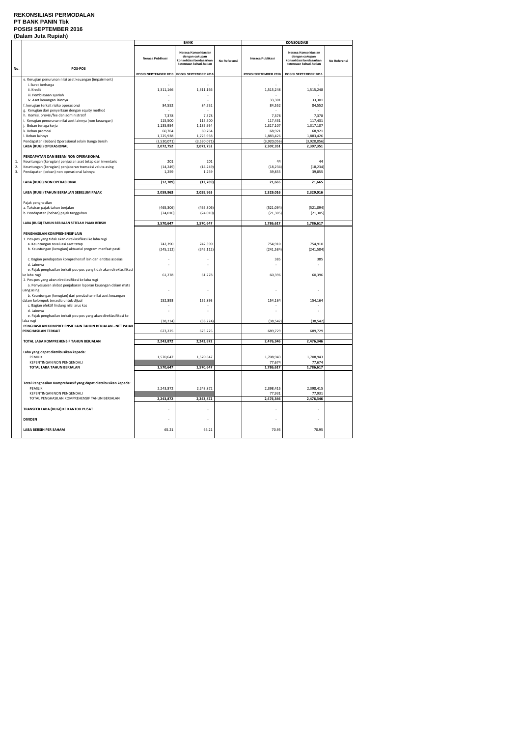#### **REKONSILIASI PERMODALAN PT BANK PANIN Tbk POSISI SEPTEMBER 2016 (Dalam Juta Rupiah)**

|     |                                                                                                                   |                                             | <b>BANK</b>                                                                                  |              |                          | <b>KONSOLIDASI</b>                                                                           |              |
|-----|-------------------------------------------------------------------------------------------------------------------|---------------------------------------------|----------------------------------------------------------------------------------------------|--------------|--------------------------|----------------------------------------------------------------------------------------------|--------------|
|     |                                                                                                                   | Neraca Publikasi                            | Neraca Konsolidasian<br>dengan cakupan<br>konsolidasi berdasarkan<br>ketentuan kehati-hatian | No Referensi | Neraca Publikasi         | Neraca Konsolidasian<br>dengan cakupan<br>konsolidasi berdasarkan<br>ketentuan kehati-hatian | No Referensi |
| No. | POS-POS                                                                                                           |                                             |                                                                                              |              |                          |                                                                                              |              |
|     | e. Kerugian penurunan nilai aset keuangan (impairment)<br>i. Surat berharga                                       | POSISI SEPTEMBER 2016 POSISI SEPTEMBER 2016 |                                                                                              |              | POSISI SEPTEMBER 2016    | POSISI SEPTEMBER 2016                                                                        |              |
|     | ii. Kredit<br>iii. Pembiayaan syariah                                                                             | 1,311,166                                   | 1,311,166                                                                                    |              | 1,515,248                | 1,515,248                                                                                    |              |
|     | iv. Aset keuangan lainnya                                                                                         |                                             |                                                                                              |              | 33,301                   | 33,301                                                                                       |              |
|     | f. kerugian terkait risiko operasional<br>g. Kerugian dari penyertaan dengan equity method                        | 84,552                                      | 84,552                                                                                       |              | 84,552                   | 84,552                                                                                       |              |
|     | h. Komisi, provisi/fee dan administratif                                                                          | 7,378                                       | 7,378                                                                                        |              | 7,378                    | 7,378                                                                                        |              |
|     | i. Kerugian penurunan nilai aset lainnya (non keuangan)                                                           | 115,500                                     | 115,500                                                                                      |              | 117,431                  | 117,431                                                                                      |              |
|     | j. Beban tenaga kerja                                                                                             | 1,135,954                                   | 1,135,954                                                                                    |              | 1,317,107                | 1,317,107                                                                                    |              |
|     | k. Beban promosi                                                                                                  | 60,764                                      | 60,764                                                                                       |              | 68,921                   | 68,921                                                                                       |              |
|     | I. Beban lainnya<br>Pendapatan (Beban) Operasional selain Bunga Bersih                                            | 1,725,938<br>(3,530,071)                    | 1,725,938<br>(3,530,071)                                                                     |              | 1,883,426<br>(3,920,056) | 1,883,426<br>(3,920,056)                                                                     |              |
|     | LABA (RUGI) OPERASIONAL                                                                                           | 2,072,752                                   | 2,072,752                                                                                    |              | 2,307,351                | 2,307,351                                                                                    |              |
|     | PENDAPATAN DAN BEBAN NON OPERASIONAL                                                                              |                                             |                                                                                              |              |                          |                                                                                              |              |
| 1.  | Keuntungan (kerugian) penjualan aset tetap dan inventaris                                                         | 201                                         | 201                                                                                          |              | 44                       | 44                                                                                           |              |
| 2.  | Keuntungan (kerugian) penjabaran transaksi valuta asing                                                           | (14, 249)                                   | (14, 249)                                                                                    |              | (18, 234)                | (18, 234)                                                                                    |              |
| 3.  | Pendapatan (beban) non operasional lainnya                                                                        | 1,259                                       | 1,259                                                                                        |              | 39,855                   | 39,855                                                                                       |              |
|     | LABA (RUGI) NON OPERASIONAL                                                                                       | (12,789)                                    | (12,789)                                                                                     |              | 21,665                   | 21,665                                                                                       |              |
|     | LABA (RUGI) TAHUN BERJALAN SEBELUM PAJAK                                                                          | 2,059,963                                   | 2,059,963                                                                                    |              | 2,329,016                | 2,329,016                                                                                    |              |
|     | Pajak penghasilan                                                                                                 |                                             |                                                                                              |              |                          |                                                                                              |              |
|     | a. Taksiran pajak tahun berjalan                                                                                  | (465, 306)                                  | (465, 306)                                                                                   |              | (521,094)                | (521,094)                                                                                    |              |
|     | b. Pendapatan (beban) pajak tangguhan                                                                             | (24, 010)                                   | (24, 010)                                                                                    |              | (21, 305)                | (21, 305)                                                                                    |              |
|     | LABA (RUGI) TAHUN BERJALAN SETELAH PAJAK BERSIH                                                                   | 1,570,647                                   | 1,570,647                                                                                    |              | 1,786,617                | 1,786,617                                                                                    |              |
|     |                                                                                                                   |                                             |                                                                                              |              |                          |                                                                                              |              |
|     | PENGHASILAN KOMPREHENSIF LAIN                                                                                     |                                             |                                                                                              |              |                          |                                                                                              |              |
|     | 1. Pos-pos yang tidak akan direklasifikasi ke laba rugi<br>a. Keuntungan revaluasi aset tetap                     | 742,390                                     | 742,390                                                                                      |              | 754,910                  | 754,910                                                                                      |              |
|     | b. Keuntungan (kerugian) aktuarial program manfaat pasti                                                          | (245, 112)                                  | (245, 112)                                                                                   |              | (241, 584)               | (241, 584)                                                                                   |              |
|     | c. Bagian pendapatan komprehensif lain dari entitas asosiasi<br>d. Lainnya                                        |                                             |                                                                                              |              | 385                      | 385                                                                                          |              |
|     | e. Pajak penghasilan terkait pos-pos yang tidak akan direklasifikasi                                              |                                             |                                                                                              |              |                          |                                                                                              |              |
|     | ke laba rugi                                                                                                      | 61,278                                      | 61,278                                                                                       |              | 60,396                   | 60,396                                                                                       |              |
|     | 2. Pos-pos yang akan direklasifikasi ke laba rugi<br>a. Penyesuaian akibat penjabaran laporan keuangan dalam mata |                                             |                                                                                              |              |                          |                                                                                              |              |
|     | uang asing                                                                                                        |                                             |                                                                                              |              |                          |                                                                                              |              |
|     | b. Keuntungan (kerugian) dari perubahan nilai aset keuangan                                                       |                                             |                                                                                              |              |                          |                                                                                              |              |
|     | dalam kelompok tersedia untuk dijual<br>c. Bagian efektif lindung nilai arus kas                                  | 152,893                                     | 152,893                                                                                      |              | 154,164                  | 154,164                                                                                      |              |
|     | d. Lainnya                                                                                                        |                                             |                                                                                              |              |                          |                                                                                              |              |
|     | e. Pajak penghasilan terkait pos-pos yang akan direklasifikasi ke<br>laba rugi                                    | (38, 224)                                   | (38, 224)                                                                                    |              | (38, 542)                | (38, 542)                                                                                    |              |
|     | PENGHASILAN KOMPREHENSIF LAIN TAHUN BERJALAN - NET PAJAK                                                          |                                             |                                                                                              |              |                          |                                                                                              |              |
|     | PENGHASILAN TERKAIT                                                                                               | 673,225                                     | 673,225                                                                                      |              | 689,729                  | 689,729                                                                                      |              |
|     | TOTAL LABA KOMPREHENSIF TAHUN BERJALAN                                                                            | 2,243,872                                   | 2,243,872                                                                                    |              | 2,476,346                | 2,476,346                                                                                    |              |
|     | Laba yang dapat diatribusikan kepada:                                                                             |                                             |                                                                                              |              |                          |                                                                                              |              |
|     | <b>PEMILIK</b><br>KEPENTINGAN NON PENGENDALI                                                                      | 1,570,647                                   | 1,570,647                                                                                    |              | 1,708,943<br>77,674      | 1,708,943<br>77,674                                                                          |              |
|     | TOTAL LABA TAHUN BERJALAN                                                                                         | 1,570,647                                   | 1,570,647                                                                                    |              | 1,786,617                | 1,786,617                                                                                    |              |
|     |                                                                                                                   |                                             |                                                                                              |              |                          |                                                                                              |              |
|     | Total Penghasilan Komprehensif yang dapat diatribusikan kepada:<br><b>PEMILIK</b>                                 | 2,243,872                                   | 2,243,872                                                                                    |              | 2,398,415                | 2,398,415                                                                                    |              |
|     | KEPENTINGAN NON PENGENDALI                                                                                        |                                             |                                                                                              |              | 77,931                   | 77,931                                                                                       |              |
|     | TOTAL PENGHASILAN KOMPREHENSIF TAHUN BERJALAN                                                                     | 2,243,872                                   | 2,243,872                                                                                    |              | 2,476,346                | 2,476,346                                                                                    |              |
|     | TRANSFER LABA (RUGI) KE KANTOR PUSAT                                                                              |                                             |                                                                                              |              |                          |                                                                                              |              |
|     | <b>DIVIDEN</b>                                                                                                    | $\overline{\phantom{a}}$                    |                                                                                              |              | $\overline{\phantom{a}}$ |                                                                                              |              |
|     | LABA BERSIH PER SAHAM                                                                                             | 65.21                                       | 65.21                                                                                        |              | 70.95                    | 70.95                                                                                        |              |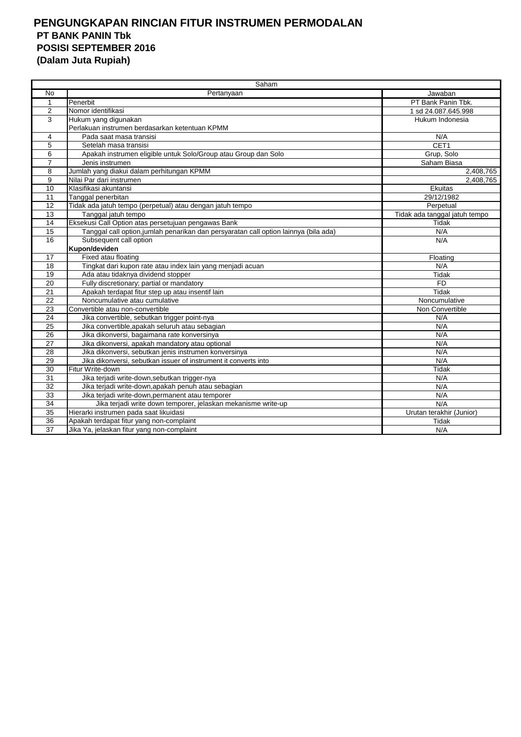## **PENGUNGKAPAN RINCIAN FITUR INSTRUMEN PERMODALAN PT BANK PANIN Tbk POSISI SEPTEMBER 2016 (Dalam Juta Rupiah)**

|                 | Saham                                                                                |                               |  |  |  |  |
|-----------------|--------------------------------------------------------------------------------------|-------------------------------|--|--|--|--|
| No              | Pertanyaan                                                                           | Jawaban                       |  |  |  |  |
| $\mathbf{1}$    | Penerbit                                                                             | PT Bank Panin Tbk.            |  |  |  |  |
| 2               | Nomor identifikasi                                                                   | 1 sd 24.087.645.998           |  |  |  |  |
| 3               | Hukum yang digunakan                                                                 | Hukum Indonesia               |  |  |  |  |
|                 | Perlakuan instrumen berdasarkan ketentuan KPMM                                       |                               |  |  |  |  |
| 4               | Pada saat masa transisi                                                              | N/A                           |  |  |  |  |
| 5               | Setelah masa transisi                                                                | CET1                          |  |  |  |  |
| 6               | Apakah instrumen eligible untuk Solo/Group atau Group dan Solo                       | Grup, Solo                    |  |  |  |  |
| $\overline{7}$  | Jenis instrumen                                                                      | Saham Biasa                   |  |  |  |  |
| 8               | Jumlah yang diakui dalam perhitungan KPMM                                            | 2,408,765                     |  |  |  |  |
| 9               | Nilai Par dari instrumen                                                             | 2,408,765                     |  |  |  |  |
| 10              | Klasifikasi akuntansi                                                                | Ekuitas                       |  |  |  |  |
| 11              | Tanggal penerbitan                                                                   | 29/12/1982                    |  |  |  |  |
| 12              | Tidak ada jatuh tempo (perpetual) atau dengan jatuh tempo                            | Perpetual                     |  |  |  |  |
| 13              | Tanggal jatuh tempo                                                                  | Tidak ada tanggal jatuh tempo |  |  |  |  |
| 14              | Eksekusi Call Option atas persetujuan pengawas Bank                                  | Tidak                         |  |  |  |  |
| $\overline{15}$ | Tanggal call option, jumlah penarikan dan persyaratan call option lainnya (bila ada) | N/A                           |  |  |  |  |
| 16              | Subsequent call option                                                               | N/A                           |  |  |  |  |
|                 | Kupon/deviden                                                                        |                               |  |  |  |  |
| 17              | Fixed atau floating                                                                  | Floating                      |  |  |  |  |
| 18              | Tingkat dari kupon rate atau index lain yang menjadi acuan                           | N/A                           |  |  |  |  |
| $\overline{19}$ | Ada atau tidaknya dividend stopper                                                   | <b>Tidak</b>                  |  |  |  |  |
| 20              | Fully discretionary; partial or mandatory                                            | <b>FD</b>                     |  |  |  |  |
| 21              | Apakah terdapat fitur step up atau insentif lain                                     | Tidak                         |  |  |  |  |
| 22              | Noncumulative atau cumulative                                                        | Noncumulative                 |  |  |  |  |
| 23              | Convertible atau non-convertible                                                     | Non Convertible               |  |  |  |  |
| 24              | Jika convertible, sebutkan trigger point-nya                                         | N/A                           |  |  |  |  |
| 25              | Jika convertible, apakah seluruh atau sebagian                                       | N/A                           |  |  |  |  |
| 26              | Jika dikonversi, bagaimana rate konversinya                                          | N/A                           |  |  |  |  |
| 27              | Jika dikonversi, apakah mandatory atau optional                                      | N/A                           |  |  |  |  |
| 28              | Jika dikonversi, sebutkan jenis instrumen konversinya                                | N/A                           |  |  |  |  |
| 29              | Jika dikonversi, sebutkan issuer of instrument it converts into                      | N/A                           |  |  |  |  |
| 30              | Fitur Write-down                                                                     | <b>Tidak</b>                  |  |  |  |  |
| 31              | Jika terjadi write-down, sebutkan trigger-nya                                        | N/A                           |  |  |  |  |
| 32              | Jika terjadi write-down, apakah penuh atau sebagian                                  | N/A                           |  |  |  |  |
| 33              | Jika terjadi write-down, permanent atau temporer                                     | N/A                           |  |  |  |  |
| $\overline{34}$ | Jika terjadi write down temporer, jelaskan mekanisme write-up                        | N/A                           |  |  |  |  |
| $\overline{35}$ | Hierarki instrumen pada saat likuidasi                                               | Urutan terakhir (Junior)      |  |  |  |  |
| 36              | Apakah terdapat fitur yang non-complaint                                             | Tidak                         |  |  |  |  |
| 37              | Jika Ya, jelaskan fitur yang non-complaint                                           | N/A                           |  |  |  |  |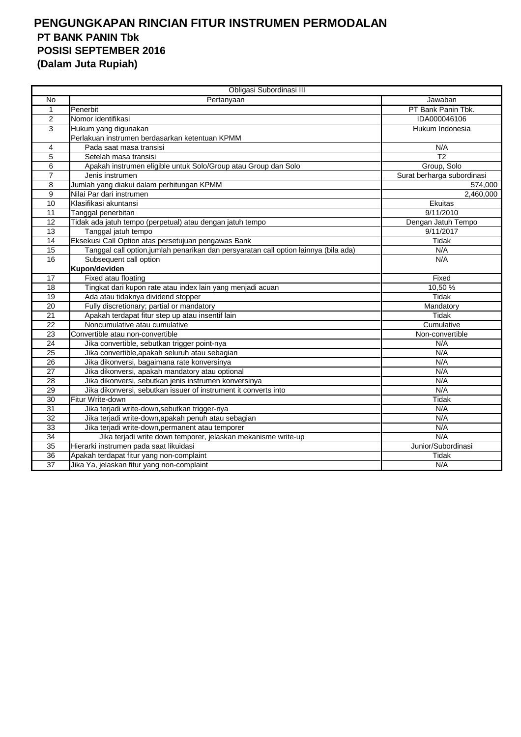## **PENGUNGKAPAN RINCIAN FITUR INSTRUMEN PERMODALAN PT BANK PANIN Tbk POSISI SEPTEMBER 2016 (Dalam Juta Rupiah)**

| Obligasi Subordinasi III |                                                                                      |                            |  |  |  |
|--------------------------|--------------------------------------------------------------------------------------|----------------------------|--|--|--|
| No                       | Pertanyaan                                                                           | Jawaban                    |  |  |  |
| 1                        | Penerbit                                                                             | PT Bank Panin Tbk.         |  |  |  |
| $\overline{2}$           | Nomor identifikasi                                                                   | IDA000046106               |  |  |  |
| 3                        | Hukum yang digunakan                                                                 | Hukum Indonesia            |  |  |  |
|                          | Perlakuan instrumen berdasarkan ketentuan KPMM                                       |                            |  |  |  |
| 4                        | Pada saat masa transisi                                                              | N/A                        |  |  |  |
| 5                        | Setelah masa transisi                                                                | $\overline{12}$            |  |  |  |
| 6                        | Apakah instrumen eligible untuk Solo/Group atau Group dan Solo                       | Group, Solo                |  |  |  |
| $\overline{7}$           | Jenis instrumen                                                                      | Surat berharga subordinasi |  |  |  |
| 8                        | Jumlah yang diakui dalam perhitungan KPMM                                            | 574,000                    |  |  |  |
| 9                        | Nilai Par dari instrumen                                                             | 2,460,000                  |  |  |  |
| 10                       | Klasifikasi akuntansi                                                                | Ekuitas                    |  |  |  |
| $\overline{11}$          | Tanggal penerbitan                                                                   | 9/11/2010                  |  |  |  |
| 12                       | Tidak ada jatuh tempo (perpetual) atau dengan jatuh tempo                            | Dengan Jatuh Tempo         |  |  |  |
| 13                       | Tanggal jatuh tempo                                                                  | 9/11/2017                  |  |  |  |
| 14                       | Eksekusi Call Option atas persetujuan pengawas Bank                                  | Tidak                      |  |  |  |
| 15                       | Tanggal call option, jumlah penarikan dan persyaratan call option lainnya (bila ada) | N/A                        |  |  |  |
| 16                       | Subsequent call option                                                               | N/A                        |  |  |  |
|                          | Kupon/deviden                                                                        |                            |  |  |  |
| 17                       | Fixed atau floating                                                                  | Fixed                      |  |  |  |
| 18                       | Tingkat dari kupon rate atau index lain yang menjadi acuan                           | 10,50 %                    |  |  |  |
| 19                       | Ada atau tidaknya dividend stopper                                                   | <b>Tidak</b>               |  |  |  |
| $\overline{20}$          | Fully discretionary; partial or mandatory                                            | Mandatory                  |  |  |  |
| 21                       | Apakah terdapat fitur step up atau insentif lain                                     | Tidak                      |  |  |  |
| $\overline{22}$          | Noncumulative atau cumulative                                                        | Cumulative                 |  |  |  |
| 23                       | Convertible atau non-convertible                                                     | Non-convertible            |  |  |  |
| $\overline{24}$          | Jika convertible, sebutkan trigger point-nya                                         | N/A                        |  |  |  |
| 25                       | Jika convertible, apakah seluruh atau sebagian                                       | N/A                        |  |  |  |
| 26                       | Jika dikonversi, bagaimana rate konversinya                                          | N/A                        |  |  |  |
| $\overline{27}$          | Jika dikonversi, apakah mandatory atau optional                                      | N/A                        |  |  |  |
| 28                       | Jika dikonversi, sebutkan jenis instrumen konversinya                                | N/A                        |  |  |  |
| 29                       | Jika dikonversi, sebutkan issuer of instrument it converts into                      | N/A                        |  |  |  |
| $\overline{30}$          | Fitur Write-down                                                                     | <b>Tidak</b>               |  |  |  |
| 31                       | Jika terjadi write-down, sebutkan trigger-nya                                        | N/A                        |  |  |  |
| 32                       | Jika terjadi write-down, apakah penuh atau sebagian                                  | N/A                        |  |  |  |
| 33                       | Jika terjadi write-down, permanent atau temporer                                     | N/A                        |  |  |  |
| $\overline{34}$          | Jika terjadi write down temporer, jelaskan mekanisme write-up                        | N/A                        |  |  |  |
| $\overline{35}$          | Hierarki instrumen pada saat likuidasi                                               | Junior/Subordinasi         |  |  |  |
| $\overline{36}$          | Apakah terdapat fitur yang non-complaint                                             | Tidak                      |  |  |  |
| $\overline{37}$          | Jika Ya, jelaskan fitur yang non-complaint                                           | N/A                        |  |  |  |